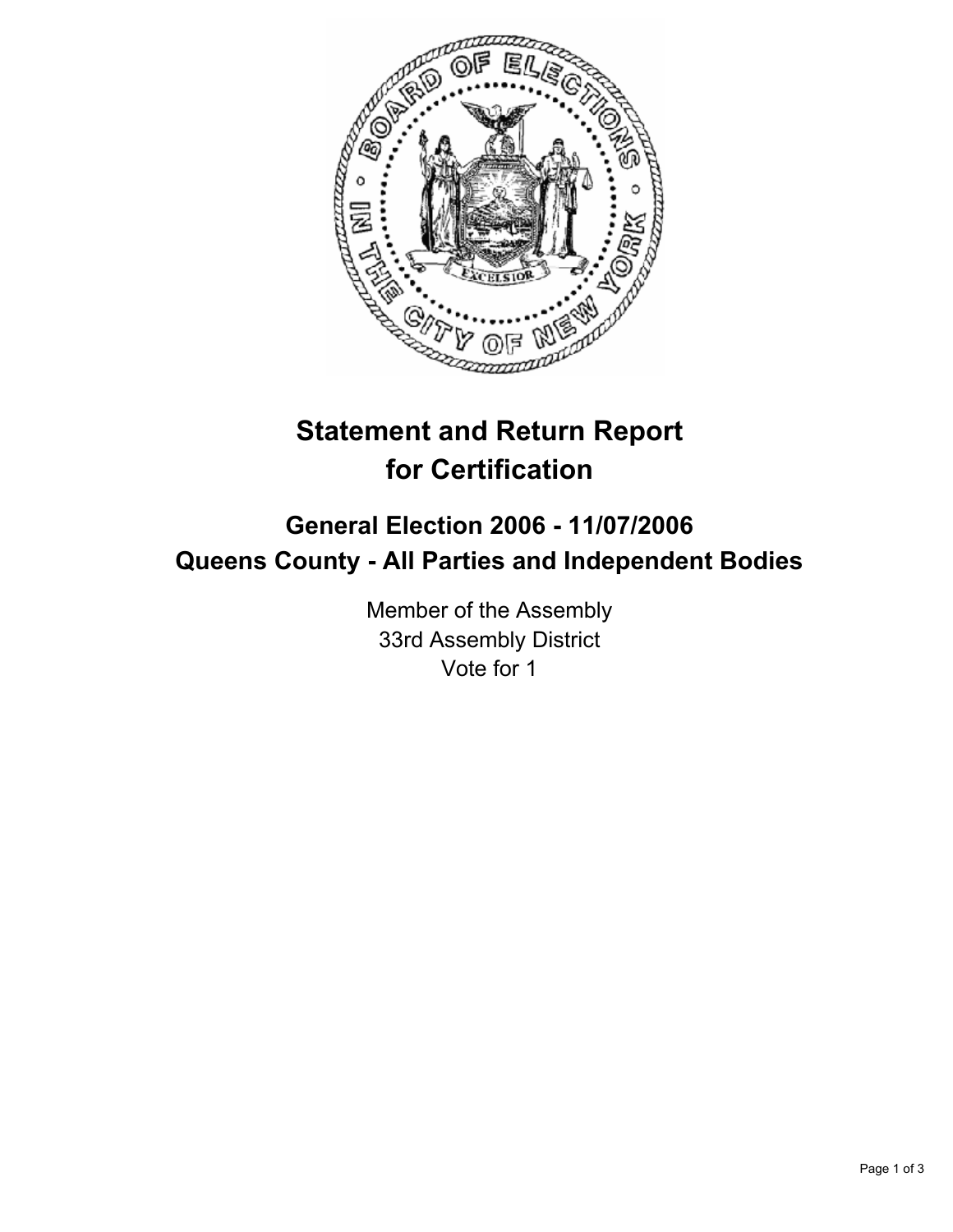

# **Statement and Return Report for Certification**

# **General Election 2006 - 11/07/2006 Queens County - All Parties and Independent Bodies**

Member of the Assembly 33rd Assembly District Vote for 1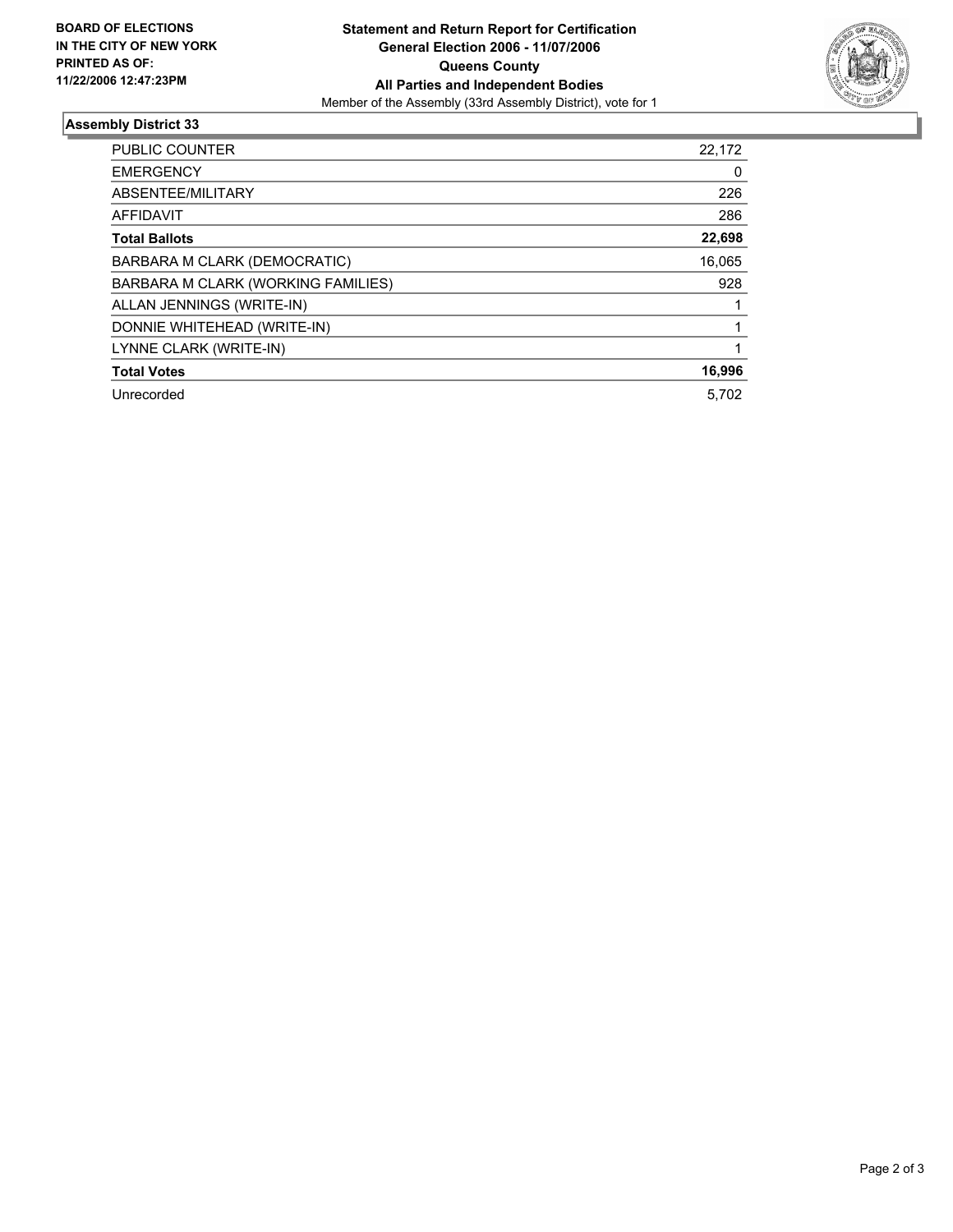

## **Assembly District 33**

| <b>PUBLIC COUNTER</b>              | 22,172 |
|------------------------------------|--------|
| <b>EMERGENCY</b>                   | 0      |
| ABSENTEE/MILITARY                  | 226    |
| <b>AFFIDAVIT</b>                   | 286    |
| <b>Total Ballots</b>               | 22,698 |
| BARBARA M CLARK (DEMOCRATIC)       | 16,065 |
| BARBARA M CLARK (WORKING FAMILIES) | 928    |
| ALLAN JENNINGS (WRITE-IN)          |        |
| DONNIE WHITEHEAD (WRITE-IN)        |        |
| LYNNE CLARK (WRITE-IN)             |        |
| <b>Total Votes</b>                 | 16,996 |
| Unrecorded                         | 5,702  |